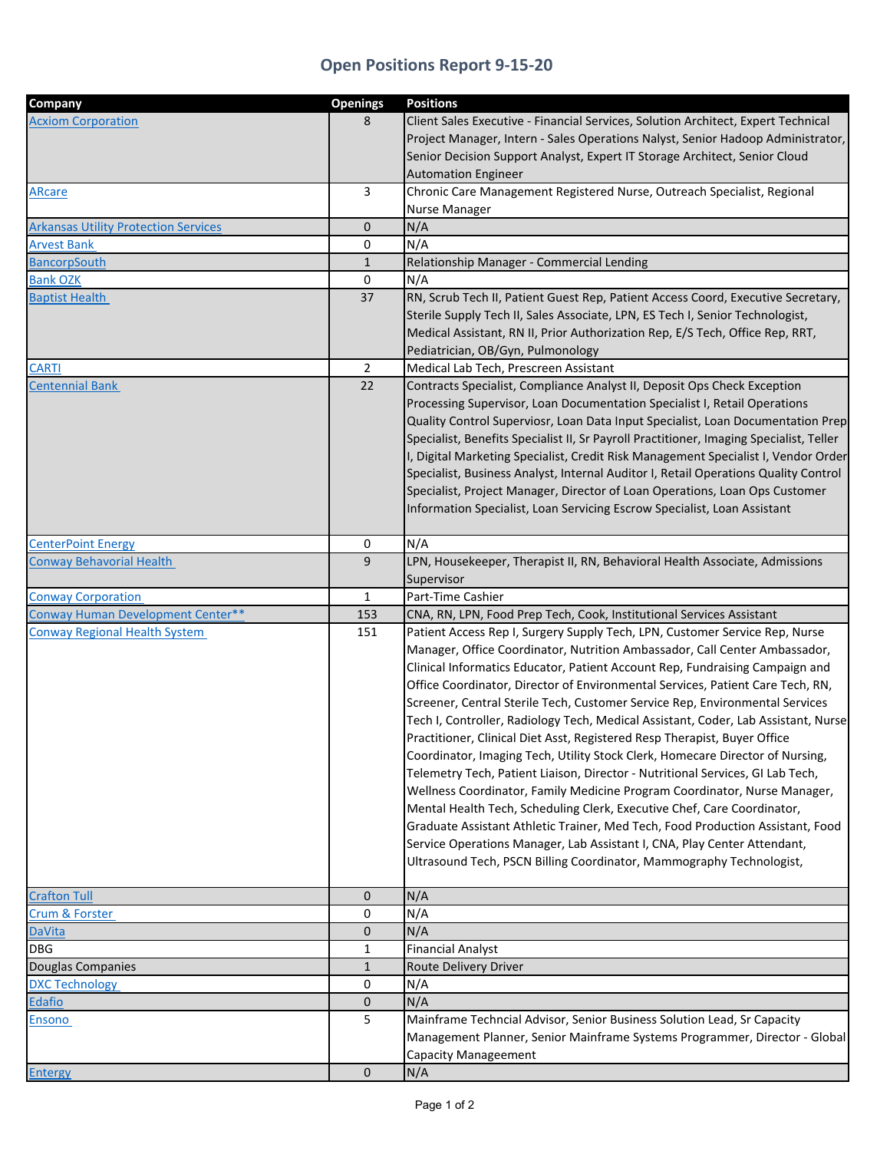## **Open Positions Report 9‐15‐20**

| Company                                     | <b>Openings</b>              | <b>Positions</b>                                                                                                                                      |
|---------------------------------------------|------------------------------|-------------------------------------------------------------------------------------------------------------------------------------------------------|
| <b>Acxiom Corporation</b>                   | 8                            | Client Sales Executive - Financial Services, Solution Architect, Expert Technical                                                                     |
|                                             |                              | Project Manager, Intern - Sales Operations Nalyst, Senior Hadoop Administrator,                                                                       |
|                                             |                              | Senior Decision Support Analyst, Expert IT Storage Architect, Senior Cloud                                                                            |
|                                             |                              | <b>Automation Engineer</b>                                                                                                                            |
| <b>ARcare</b>                               | 3                            | Chronic Care Management Registered Nurse, Outreach Specialist, Regional                                                                               |
|                                             |                              | Nurse Manager                                                                                                                                         |
| <b>Arkansas Utility Protection Services</b> | 0                            | N/A                                                                                                                                                   |
| <b>Arvest Bank</b>                          | 0                            | N/A                                                                                                                                                   |
| <b>BancorpSouth</b>                         | $\mathbf{1}$                 | Relationship Manager - Commercial Lending                                                                                                             |
| <b>Bank OZK</b>                             | 0                            | N/A                                                                                                                                                   |
| <b>Baptist Health</b>                       | 37                           | RN, Scrub Tech II, Patient Guest Rep, Patient Access Coord, Executive Secretary,                                                                      |
|                                             |                              | Sterile Supply Tech II, Sales Associate, LPN, ES Tech I, Senior Technologist,                                                                         |
|                                             |                              | Medical Assistant, RN II, Prior Authorization Rep, E/S Tech, Office Rep, RRT,                                                                         |
|                                             |                              | Pediatrician, OB/Gyn, Pulmonology                                                                                                                     |
| <b>CARTI</b>                                | 2                            | Medical Lab Tech, Prescreen Assistant                                                                                                                 |
| <b>Centennial Bank</b>                      | 22                           | Contracts Specialist, Compliance Analyst II, Deposit Ops Check Exception                                                                              |
|                                             |                              | Processing Supervisor, Loan Documentation Specialist I, Retail Operations                                                                             |
|                                             |                              | Quality Control Superviosr, Loan Data Input Specialist, Loan Documentation Prep                                                                       |
|                                             |                              | Specialist, Benefits Specialist II, Sr Payroll Practitioner, Imaging Specialist, Teller                                                               |
|                                             |                              | I, Digital Marketing Specialist, Credit Risk Management Specialist I, Vendor Order                                                                    |
|                                             |                              | Specialist, Business Analyst, Internal Auditor I, Retail Operations Quality Control                                                                   |
|                                             |                              | Specialist, Project Manager, Director of Loan Operations, Loan Ops Customer                                                                           |
|                                             |                              | Information Specialist, Loan Servicing Escrow Specialist, Loan Assistant                                                                              |
|                                             |                              |                                                                                                                                                       |
| <b>CenterPoint Energy</b>                   | 0                            | N/A                                                                                                                                                   |
| <b>Conway Behavorial Health</b>             | 9                            | LPN, Housekeeper, Therapist II, RN, Behavioral Health Associate, Admissions                                                                           |
|                                             |                              | Supervisor                                                                                                                                            |
| <b>Conway Corporation</b>                   | $\mathbf{1}$                 | Part-Time Cashier                                                                                                                                     |
| Conway Human Development Center**           | 153                          | CNA, RN, LPN, Food Prep Tech, Cook, Institutional Services Assistant                                                                                  |
| <b>Conway Regional Health System</b>        | 151                          | Patient Access Rep I, Surgery Supply Tech, LPN, Customer Service Rep, Nurse                                                                           |
|                                             |                              | Manager, Office Coordinator, Nutrition Ambassador, Call Center Ambassador,                                                                            |
|                                             |                              | Clinical Informatics Educator, Patient Account Rep, Fundraising Campaign and                                                                          |
|                                             |                              | Office Coordinator, Director of Environmental Services, Patient Care Tech, RN,                                                                        |
|                                             |                              | Screener, Central Sterile Tech, Customer Service Rep, Environmental Services                                                                          |
|                                             |                              | Tech I, Controller, Radiology Tech, Medical Assistant, Coder, Lab Assistant, Nurse                                                                    |
|                                             |                              | Practitioner, Clinical Diet Asst, Registered Resp Therapist, Buyer Office                                                                             |
|                                             |                              | Coordinator, Imaging Tech, Utility Stock Clerk, Homecare Director of Nursing,                                                                         |
|                                             |                              | Telemetry Tech, Patient Liaison, Director - Nutritional Services, GI Lab Tech,                                                                        |
|                                             |                              | Wellness Coordinator, Family Medicine Program Coordinator, Nurse Manager,                                                                             |
|                                             |                              | Mental Health Tech, Scheduling Clerk, Executive Chef, Care Coordinator,                                                                               |
|                                             |                              | Graduate Assistant Athletic Trainer, Med Tech, Food Production Assistant, Food                                                                        |
|                                             |                              | Service Operations Manager, Lab Assistant I, CNA, Play Center Attendant,                                                                              |
|                                             |                              | Ultrasound Tech, PSCN Billing Coordinator, Mammography Technologist,                                                                                  |
|                                             |                              |                                                                                                                                                       |
| <b>Crafton Tull</b>                         | $\mathbf{0}$                 | N/A                                                                                                                                                   |
| <b>Crum &amp; Forster</b>                   | 0<br>$\mathbf{0}$            | N/A<br>N/A                                                                                                                                            |
| <b>DaVita</b>                               |                              |                                                                                                                                                       |
| <b>DBG</b>                                  | $\mathbf{1}$<br>$\mathbf{1}$ | <b>Financial Analyst</b><br>Route Delivery Driver                                                                                                     |
| Douglas Companies                           | 0                            | N/A                                                                                                                                                   |
| <b>DXC Technology</b><br>Edafio             | 0                            | N/A                                                                                                                                                   |
|                                             | 5                            |                                                                                                                                                       |
| Ensono                                      |                              | Mainframe Techncial Advisor, Senior Business Solution Lead, Sr Capacity<br>Management Planner, Senior Mainframe Systems Programmer, Director - Global |
|                                             |                              |                                                                                                                                                       |
|                                             | 0                            | <b>Capacity Manageement</b><br>N/A                                                                                                                    |
| <b>Entergy</b>                              |                              |                                                                                                                                                       |